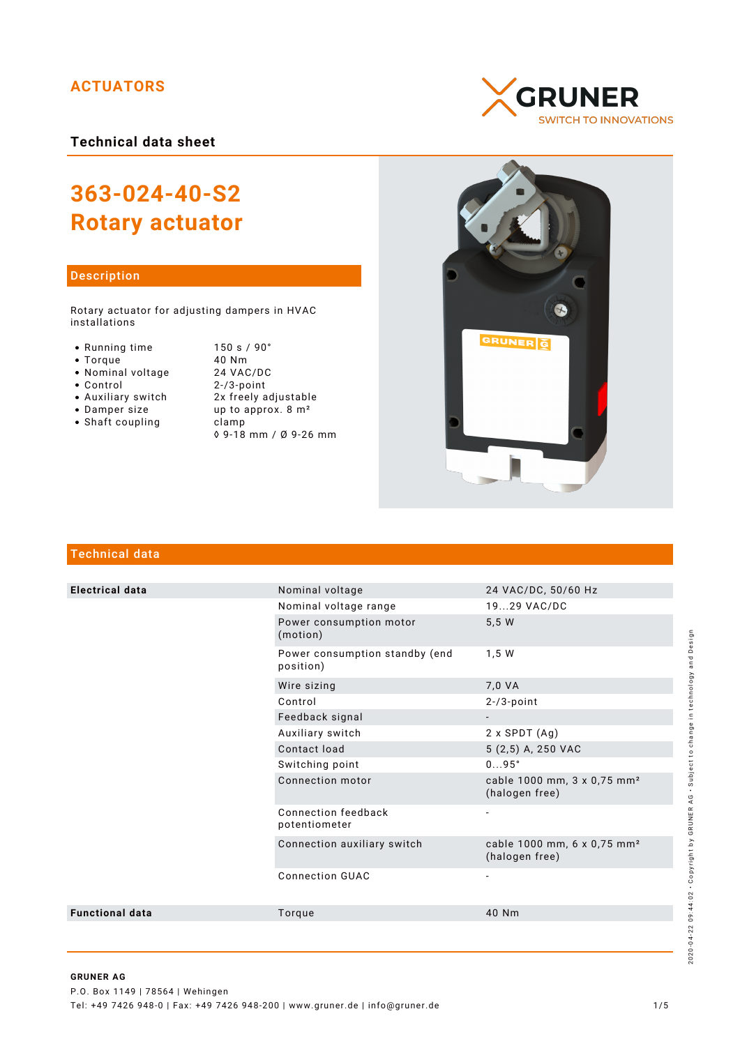# **ACTUATORS**

**Technical data sheet**

# **363-024-40-S2 Rotary actuator**

## Description

Rotary actuator for adjusting dampers in HVAC installations

- 
- 
- 
- Nominal voltage<br>• Control
- 
- 
- $\bullet$  Shaft coupling
- Running time 150 s / 90°<br>● Torque 10 Nm • Torque 40 Nm<br>• Nominal voltage 24 VAC/DC  $2 - / 3$ -point Auxiliary switch 2x freely adjustable • Damper size  $up$  up to approx.  $8 \text{ m}^2$ <br>• Shaft coupling clamp ◊ 9-18 mm / Ø 9-26 mm





# Technical data

| <b>Electrical data</b> | Nominal voltage                             | 24 VAC/DC, 50/60 Hz                                       |
|------------------------|---------------------------------------------|-----------------------------------------------------------|
|                        | Nominal voltage range                       | 1929 VAC/DC                                               |
|                        | Power consumption motor<br>(motion)         | 5,5 W                                                     |
|                        | Power consumption standby (end<br>position) | 1,5 W                                                     |
|                        | Wire sizing                                 | 7,0 VA                                                    |
|                        | Control                                     | $2 - 73$ -point                                           |
|                        | Feedback signal                             |                                                           |
|                        | Auxiliary switch                            | $2 \times$ SPDT $(Ag)$                                    |
|                        | Contact load                                | 5 (2,5) A, 250 VAC                                        |
|                        | Switching point                             | $095^\circ$                                               |
|                        | Connection motor                            | cable 1000 mm, 3 x 0,75 mm <sup>2</sup><br>(halogen free) |
|                        | Connection feedback<br>potentiometer        | $\overline{a}$                                            |
|                        | Connection auxiliary switch                 | cable 1000 mm, 6 x 0,75 mm <sup>2</sup><br>(halogen free) |
|                        | <b>Connection GUAC</b>                      |                                                           |
| <b>Functional data</b> | Torque                                      | 40 Nm                                                     |
|                        |                                             |                                                           |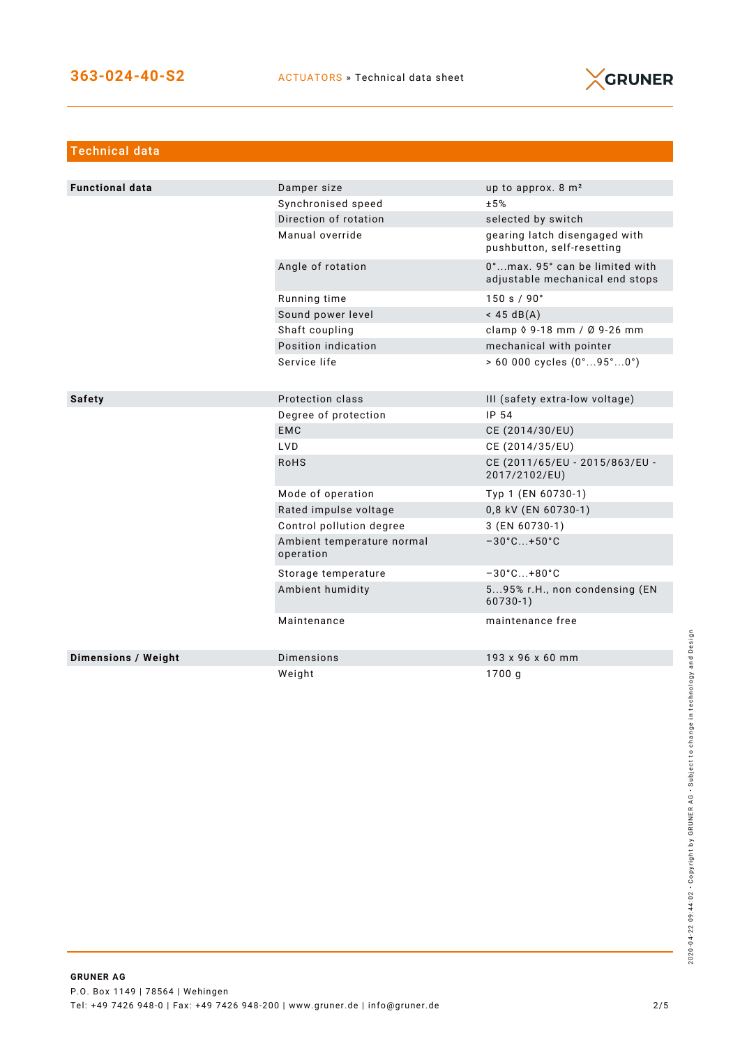

| <b>Technical data</b>      |                                         |                                                                   |
|----------------------------|-----------------------------------------|-------------------------------------------------------------------|
|                            |                                         |                                                                   |
| <b>Functional data</b>     | Damper size                             | up to approx. 8 m <sup>2</sup>                                    |
|                            | Synchronised speed                      | ±5%                                                               |
|                            | Direction of rotation                   | selected by switch                                                |
|                            | Manual override                         | gearing latch disengaged with<br>pushbutton, self-resetting       |
|                            | Angle of rotation                       | 0°max. 95° can be limited with<br>adjustable mechanical end stops |
|                            | Running time                            | 150 s / 90°                                                       |
|                            | Sound power level                       | $<$ 45 dB(A)                                                      |
|                            | Shaft coupling                          | clamp $\sqrt{9} - 18$ mm / Ø 9-26 mm                              |
|                            | Position indication                     | mechanical with pointer                                           |
|                            | Service life                            | $> 60000$ cycles $(0^{\circ}95^{\circ}0^{\circ})$                 |
|                            |                                         |                                                                   |
| <b>Safety</b>              | Protection class                        | III (safety extra-low voltage)                                    |
|                            | Degree of protection                    | IP 54                                                             |
|                            | <b>EMC</b>                              | CE (2014/30/EU)                                                   |
|                            | <b>LVD</b>                              | CE (2014/35/EU)                                                   |
|                            | <b>RoHS</b>                             | CE (2011/65/EU - 2015/863/EU -<br>2017/2102/EU)                   |
|                            | Mode of operation                       | Typ 1 (EN 60730-1)                                                |
|                            | Rated impulse voltage                   | 0,8 kV (EN 60730-1)                                               |
|                            | Control pollution degree                | 3 (EN 60730-1)                                                    |
|                            | Ambient temperature normal<br>operation | $-30^{\circ}$ C +50 $^{\circ}$ C                                  |
|                            | Storage temperature                     | $-30^{\circ}$ C +80 $^{\circ}$ C                                  |
|                            | Ambient humidity                        | 595% r.H., non condensing (EN<br>$60730-1)$                       |
|                            | Maintenance                             | maintenance free                                                  |
| <b>Dimensions / Weight</b> | Dimensions                              | 193 x 96 x 60 mm                                                  |
|                            | Weight                                  | 1700 g                                                            |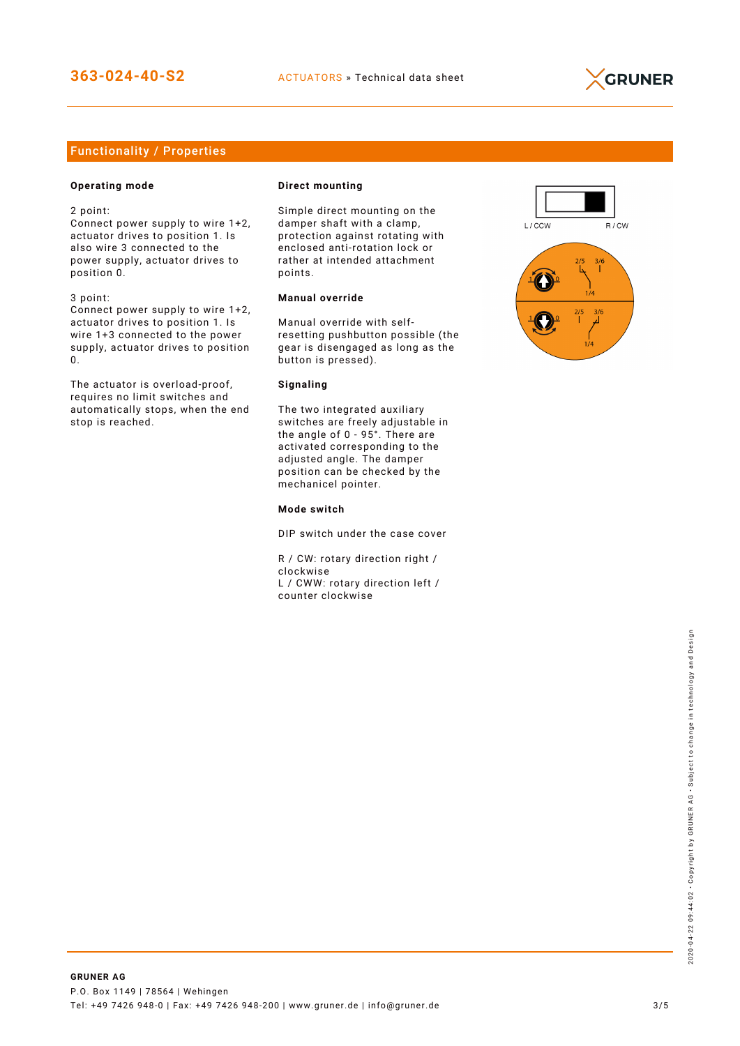

# Functionality / Properties

## **Operating mode**

2 point:

Connect power supply to wire 1+2, actuator drives to position 1. Is also wire 3 connected to the power supply, actuator drives to position 0.

3 point:

Connect power supply to wire 1+2, actuator drives to position 1. Is wire 1+3 connected to the power supply, actuator drives to position 0.

The actuator is overload-proof, requires no limit switches and automatically stops, when the end stop is reached.

#### **Direct mounting**

Simple direct mounting on the damper shaft with a clamp, protection against rotating with enclosed anti-rotation lock or rather at intended attachment points.

## **Manual override**

Manual override with selfresetting pushbutton possible (the gear is disengaged as long as the button is pressed).

#### **Signaling**

The two integrated auxiliary switches are freely adjustable in the angle of 0 - 95°. There are activated corresponding to the adjusted angle. The damper position can be checked by the mechanicel pointer.

#### **Mode switch**

DIP switch under the case cover

R / CW: rotary direction right / clockwise L / CWW: rotary direction left / counter clockwise

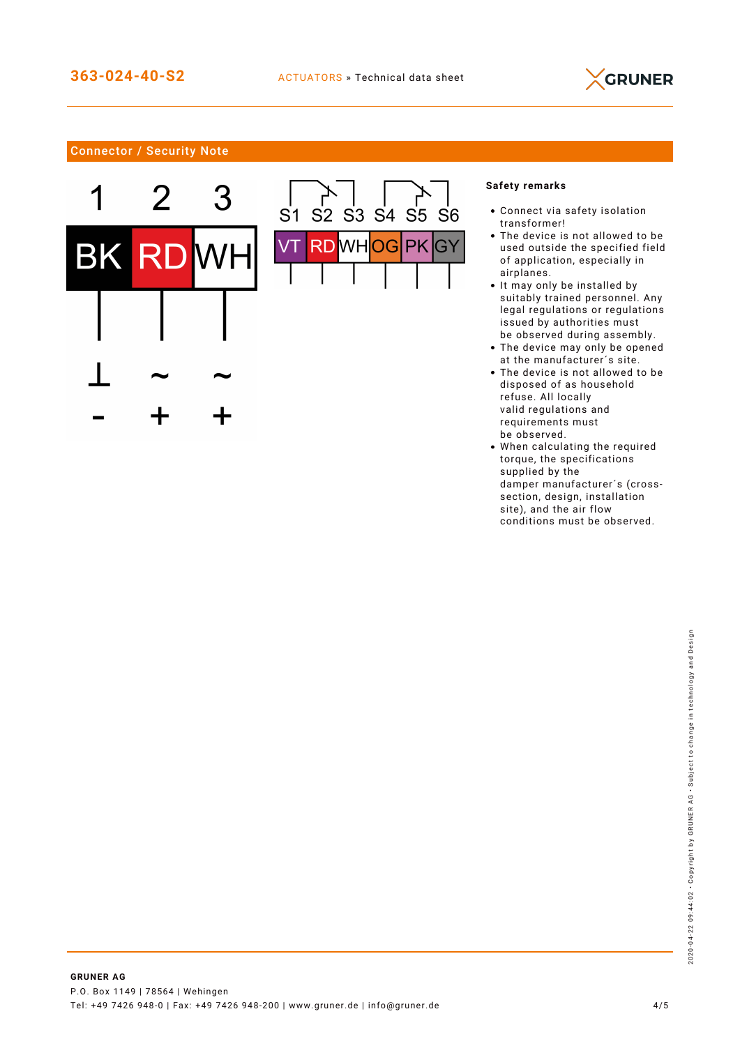

# Connector / Security Note





# **Safety remarks**

- Connect via safety isolation transformer!
- The device is not allowed to be used outside the specified field of application, especially in airplanes.
- It may only be installed by suitably trained personnel. Any legal regulations or regulations issued by authorities must be observed during assembly.
- The device may only be opened at the manufacturer´s site.
- The device is not allowed to be disposed of as household refuse. All locally valid regulations and requirements must be observed.
- When calculating the required torque, the specifications supplied by the damper manufacturer´s (crosssection, design, installation site), and the air flow conditions must be observed.